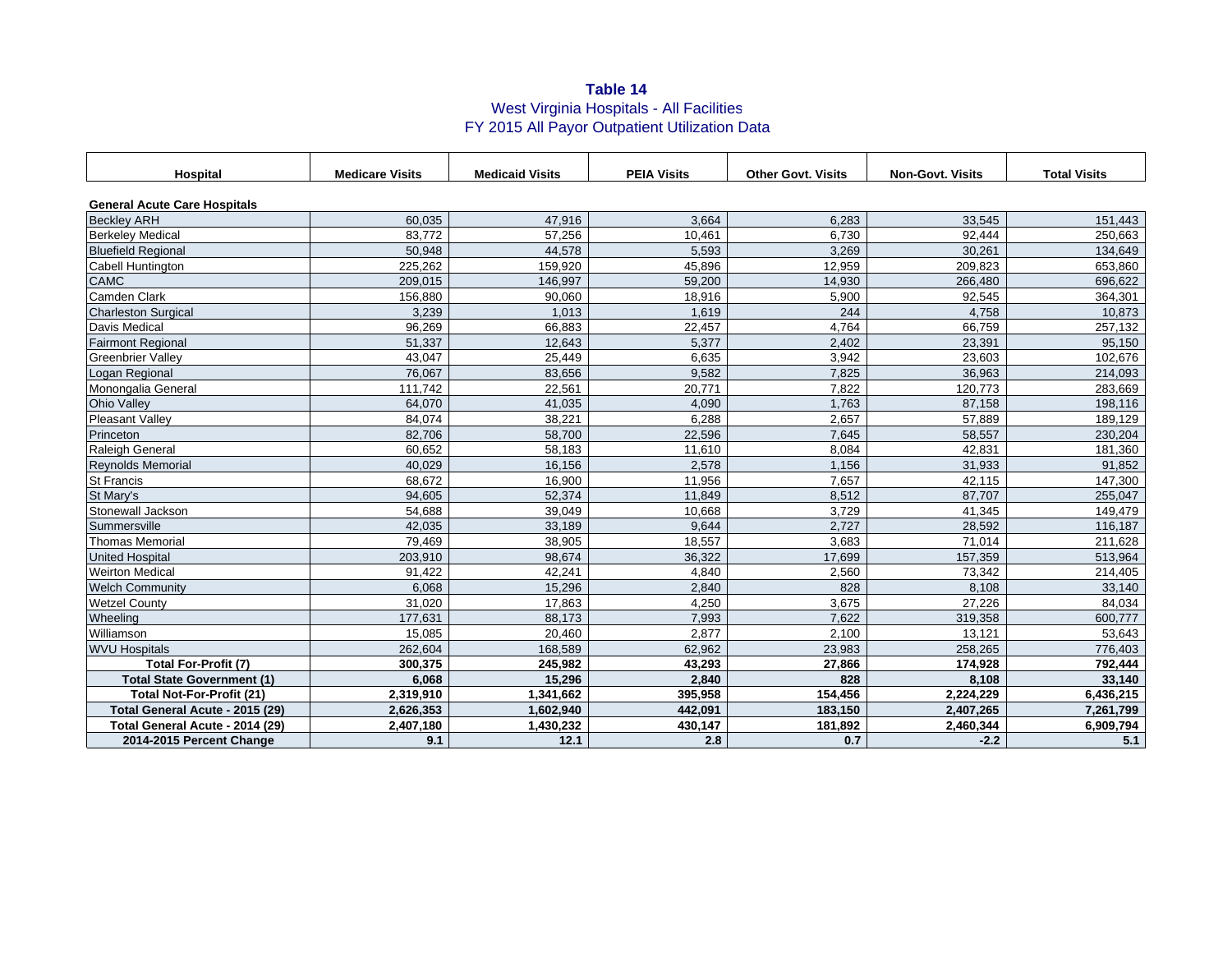## **Table 14** West Virginia Hospitals - All Facilities FY 2015 All Payor Outpatient Utilization Data

| <b>Hospital</b>                     | <b>Medicare Visits</b> | <b>Medicaid Visits</b> | <b>PEIA Visits</b> | <b>Other Govt. Visits</b> | <b>Non-Govt. Visits</b> | <b>Total Visits</b> |  |
|-------------------------------------|------------------------|------------------------|--------------------|---------------------------|-------------------------|---------------------|--|
| <b>General Acute Care Hospitals</b> |                        |                        |                    |                           |                         |                     |  |
| <b>Beckley ARH</b>                  | 60,035                 | 47,916                 | 3.664              | 6,283                     | 33,545                  | 151,443             |  |
| <b>Berkeley Medical</b>             | 83.772                 | 57,256                 | 10,461             | 6,730                     | 92.444                  | 250,663             |  |
| <b>Bluefield Regional</b>           | 50,948                 | 44,578                 | 5,593              | 3,269                     | 30,261                  | 134,649             |  |
| Cabell Huntington                   | 225,262                | 159,920                | 45,896             | 12,959                    | 209,823                 | 653,860             |  |
| <b>CAMC</b>                         | 209,015                | 146,997                | 59,200             | 14,930                    | 266,480                 | 696,622             |  |
| Camden Clark                        | 156,880                | 90,060                 | 18,916             | 5,900                     | 92,545                  | 364,301             |  |
| <b>Charleston Surgical</b>          | 3,239                  | 1,013                  | 1,619              | 244                       | 4,758                   | 10,873              |  |
| <b>Davis Medical</b>                | 96,269                 | 66,883                 | 22,457             | 4,764                     | 66,759                  | 257,132             |  |
| <b>Fairmont Regional</b>            | 51,337                 | 12,643                 | 5.377              | 2.402                     | 23,391                  | 95,150              |  |
| <b>Greenbrier Valley</b>            | 43,047                 | 25,449                 | 6,635              | 3,942                     | 23,603                  | 102,676             |  |
| Logan Regional                      | 76,067                 | 83,656                 | 9,582              | 7,825                     | 36,963                  | 214,093             |  |
| Monongalia General                  | 111,742                | 22,561                 | 20,771             | 7,822                     | 120,773                 | 283,669             |  |
| <b>Ohio Valley</b>                  | 64.070                 | 41,035                 | 4.090              | 1.763                     | 87,158                  | 198,116             |  |
| <b>Pleasant Valley</b>              | 84,074                 | 38,221                 | 6,288              | 2,657                     | 57,889                  | 189,129             |  |
| Princeton                           | 82,706                 | 58,700                 | 22,596             | 7,645                     | 58,557                  | 230,204             |  |
| <b>Raleigh General</b>              | 60,652                 | 58,183                 | 11,610             | 8,084                     | 42,831                  | 181,360             |  |
| <b>Reynolds Memorial</b>            | 40,029                 | 16,156                 | 2,578              | 1,156                     | 31,933                  | 91,852              |  |
| St Francis                          | 68.672                 | 16,900                 | 11,956             | 7.657                     | 42,115                  | 147,300             |  |
| St Mary's                           | 94,605                 | 52,374                 | 11,849             | 8,512                     | 87,707                  | 255,047             |  |
| Stonewall Jackson                   | 54,688                 | 39,049                 | 10,668             | 3,729                     | 41,345                  | 149,479             |  |
| Summersville                        | 42,035                 | 33,189                 | 9,644              | 2,727                     | 28,592                  | 116,187             |  |
| <b>Thomas Memorial</b>              | 79,469                 | 38,905                 | 18,557             | 3,683                     | 71.014                  | 211,628             |  |
| <b>United Hospital</b>              | 203,910                | 98,674                 | 36,322             | 17,699                    | 157,359                 | 513,964             |  |
| <b>Weirton Medical</b>              | 91,422                 | 42,241                 | 4,840              | 2,560                     | 73,342                  | 214,405             |  |
| <b>Welch Community</b>              | 6,068                  | 15,296                 | 2,840              | 828                       | 8,108                   | 33,140              |  |
| <b>Wetzel County</b>                | 31,020                 | 17,863                 | 4,250              | 3,675                     | 27,226                  | 84,034              |  |
| Wheeling                            | 177,631                | 88,173                 | 7,993              | 7,622                     | 319,358                 | 600.777             |  |
| Williamson                          | 15,085                 | 20,460                 | 2,877              | 2,100                     | 13,121                  | 53,643              |  |
| <b>WVU Hospitals</b>                | 262,604                | 168,589                | 62,962             | 23,983                    | 258,265                 | 776,403             |  |
| <b>Total For-Profit (7)</b>         | 300,375                | 245,982                | 43,293             | 27,866                    | 174,928                 | 792,444             |  |
| <b>Total State Government (1)</b>   | 6,068                  | 15,296                 | 2,840              | 828                       | 8,108                   | 33,140              |  |
| <b>Total Not-For-Profit (21)</b>    | 2,319,910              | 1,341,662              | 395,958            | 154,456                   | 2,224,229               | 6,436,215           |  |
| Total General Acute - 2015 (29)     | 2,626,353              | 1,602,940              | 442,091            | 183,150                   | 2,407,265               | 7,261,799           |  |
| Total General Acute - 2014 (29)     | 2,407,180              | 1,430,232              | 430,147            | 181,892                   | 2,460,344               | 6,909,794           |  |
| 2014-2015 Percent Change            | 9.1                    | 12.1                   | 2.8                | 0.7                       | $-2.2$                  | 5.1                 |  |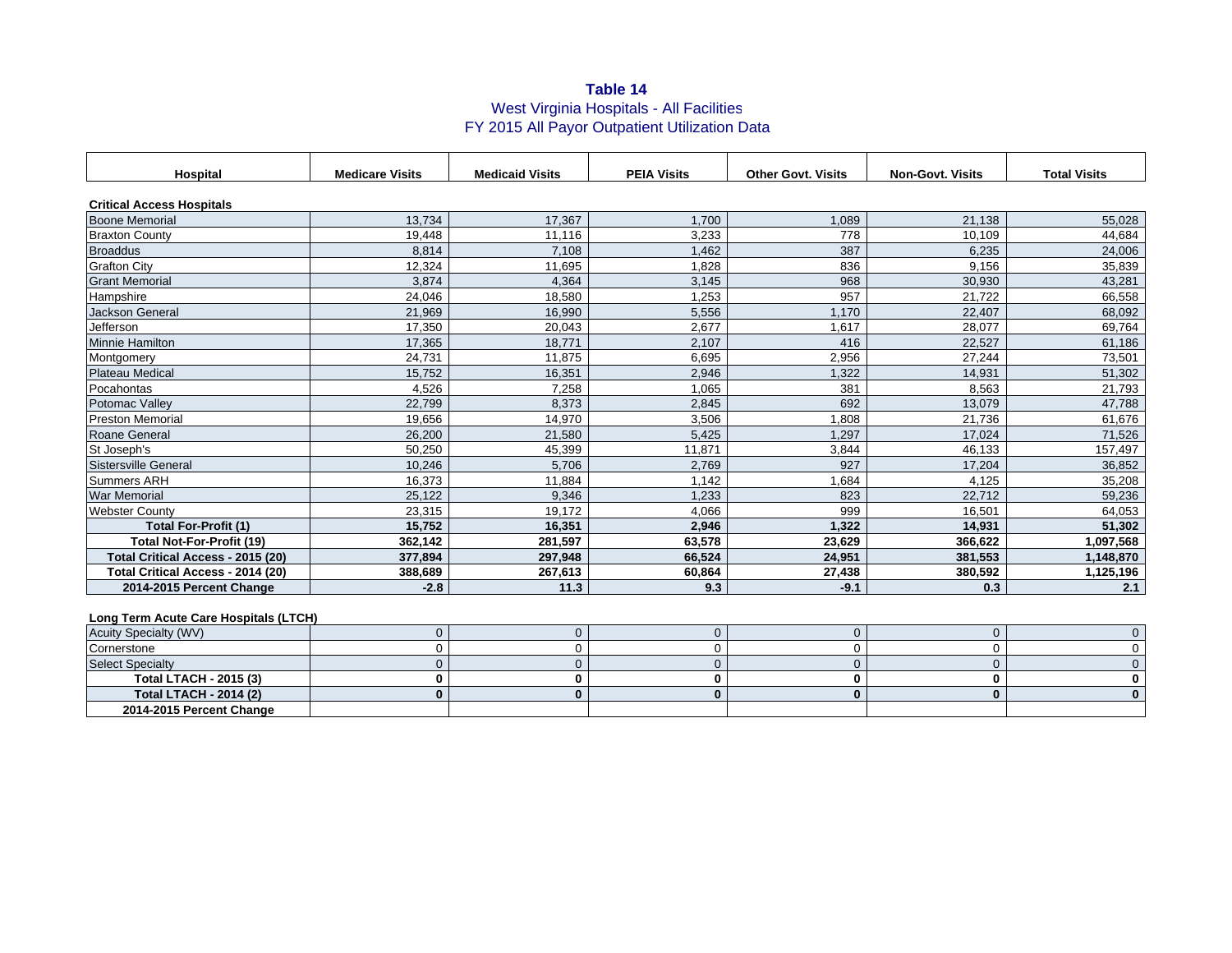## **Table 14** West Virginia Hospitals - All Facilities FY 2015 All Payor Outpatient Utilization Data

| Hospital                          | <b>Medicare Visits</b> | <b>Medicaid Visits</b> | <b>PEIA Visits</b> | <b>Other Govt. Visits</b> | <b>Non-Govt. Visits</b> | <b>Total Visits</b> |  |
|-----------------------------------|------------------------|------------------------|--------------------|---------------------------|-------------------------|---------------------|--|
| <b>Critical Access Hospitals</b>  |                        |                        |                    |                           |                         |                     |  |
| <b>Boone Memorial</b>             | 13.734                 | 17.367                 | 1.700              | 1.089                     | 21.138                  | 55,028              |  |
| <b>Braxton County</b>             | 19.448                 | 11.116                 | 3.233              | 778                       | 10.109                  | 44,684              |  |
| <b>Broaddus</b>                   | 8.814                  | 7.108                  | 1,462              | 387                       | 6,235                   | 24,006              |  |
| <b>Grafton City</b>               | 12.324                 | 11,695                 | 1,828              | 836                       | 9,156                   | 35,839              |  |
| <b>Grant Memorial</b>             | 3.874                  | 4,364                  | 3,145              | 968                       | 30,930                  | 43,281              |  |
| Hampshire                         | 24,046                 | 18,580                 | 1,253              | 957                       | 21,722                  | 66,558              |  |
| <b>Jackson General</b>            | 21,969                 | 16,990                 | 5,556              | 1.170                     | 22,407                  | 68,092              |  |
| Jefferson                         | 17,350                 | 20,043                 | 2,677              | 1,617                     | 28,077                  | 69,764              |  |
| Minnie Hamilton                   | 17,365                 | 18.771                 | 2.107              | 416                       | 22,527                  | 61,186              |  |
| Montgomery                        | 24.731                 | 11.875                 | 6.695              | 2,956                     | 27,244                  | 73,501              |  |
| <b>Plateau Medical</b>            | 15,752                 | 16,351                 | 2,946              | 1,322                     | 14,931                  | 51,302              |  |
| Pocahontas                        | 4,526                  | 7,258                  | 1,065              | 381                       | 8,563                   | 21,793              |  |
| Potomac Vallev                    | 22.799                 | 8.373                  | 2.845              | 692                       | 13,079                  | 47,788              |  |
| <b>Preston Memorial</b>           | 19.656                 | 14.970                 | 3,506              | 808,1                     | 21,736                  | 61,676              |  |
| Roane General                     | 26,200                 | 21,580                 | 5,425              | 1,297                     | 17,024                  | 71,526              |  |
| St Joseph's                       | 50.250                 | 45,399                 | 11,871             | 3,844                     | 46,133                  | 157,497             |  |
| Sistersville General              | 10.246                 | 5.706                  | 2,769              | 927                       | 17,204                  | 36,852              |  |
| <b>Summers ARH</b>                | 16.373                 | 11,884                 | 1.142              | ,684                      | 4.125                   | 35,208              |  |
| <b>War Memorial</b>               | 25,122                 | 9.346                  | 1.233              | 823                       | 22,712                  | 59,236              |  |
| <b>Webster County</b>             | 23,315                 | 19,172                 | 4,066              | 999                       | 16,501                  | 64,053              |  |
| <b>Total For-Profit (1)</b>       | 15,752                 | 16.351                 | 2,946              | 1,322                     | 14,931                  | 51,302              |  |
| <b>Total Not-For-Profit (19)</b>  | 362.142                | 281.597                | 63,578             | 23.629                    | 366.622                 | 1,097,568           |  |
| Total Critical Access - 2015 (20) | 377,894                | 297.948                | 66.524             | 24,951                    | 381,553                 | 1,148,870           |  |
| Total Critical Access - 2014 (20) | 388,689                | 267,613                | 60,864             | 27,438                    | 380,592                 | 1,125,196           |  |
| 2014-2015 Percent Change          | $-2.8$                 | 11.3                   | 9.3                | $-9.1$                    | 0.3                     | 2.1                 |  |

## **Long Term Acute Care Hospitals (LTCH)**

| <b>Acuity Specialty (WV)</b>  |  |  |  |
|-------------------------------|--|--|--|
| Cornerstone                   |  |  |  |
| <b>Select Specialty</b>       |  |  |  |
| Total LTACH - 2015 (3)        |  |  |  |
| <b>Total LTACH - 2014 (2)</b> |  |  |  |
| 2014-2015 Percent Change      |  |  |  |